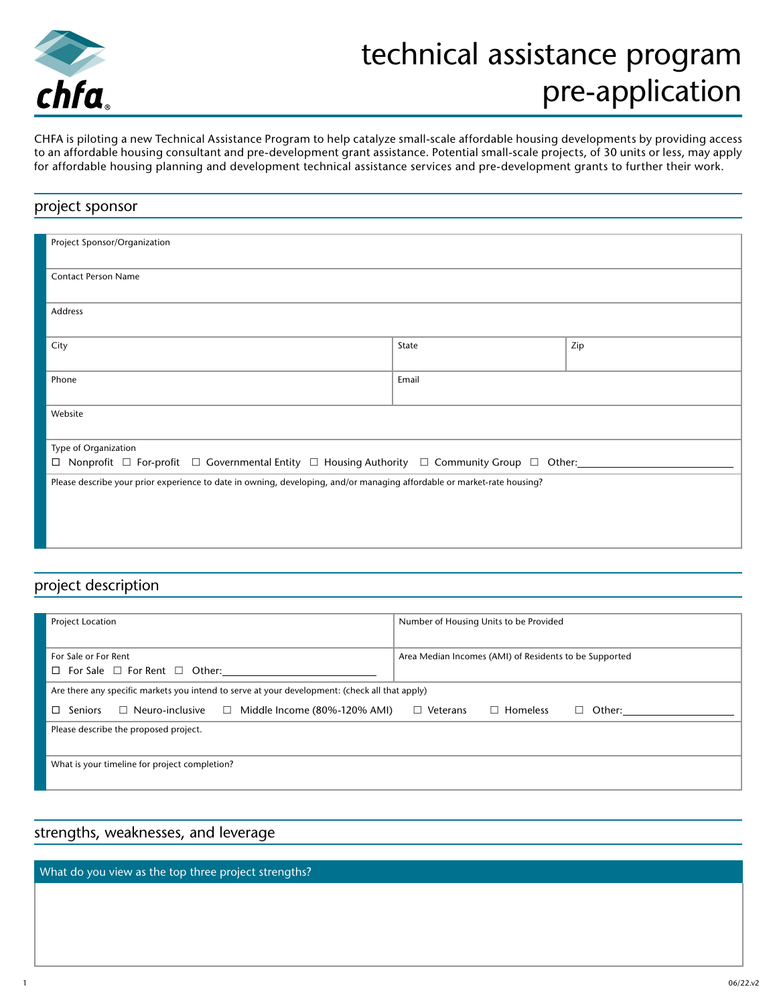

## technical assistance program pre-application

CHFA is piloting a new Technical Assistance Program to help catalyze small-scale affordable housing developments by providing access to an affordable housing consultant and pre-development grant assistance. Potential small-scale projects, of 30 units or less, may apply for affordable housing planning and development technical assistance services and pre-development grants to further their work.

# project sponsor Project Sponsor/Organization Contact Person Name Address City **State** and State and State and State and State and State and State and State and State and State and State and State and State and State and State and State and State and State and State and State and State and State Phone Email Phone Email Phone Email Phone Email Phone Email Phone Email Phone Email Phone Email Phone Email Phone Email Phone Email Phone Email Phone Email Phone Email Phone Email Phone Email Phone Email Phone Email Phone Website Type of Organization  $\Box$  Nonprofit  $\Box$  For-profit  $\Box$  Governmental Entity  $\Box$  Housing Authority  $\Box$  Community Group  $\Box$  Other: Please describe your prior experience to date in owning, developing, and/or managing affordable or market-rate housing?

#### project description

| Project Location                                                                               | Number of Housing Units to be Provided                 |
|------------------------------------------------------------------------------------------------|--------------------------------------------------------|
|                                                                                                |                                                        |
| For Sale or For Rent                                                                           | Area Median Incomes (AMI) of Residents to be Supported |
| $\Box$ For Sale $\Box$ For Rent $\Box$ Other:                                                  |                                                        |
| Are there any specific markets you intend to serve at your development: (check all that apply) |                                                        |
| $\Box$ Neuro-inclusive<br>$\Box$ Middle Income (80%-120% AMI)<br>$\square$ Seniors             | $\Box$ Homeless<br>$\Box$ Veterans<br>Other:<br>$\Box$ |
| Please describe the proposed project.                                                          |                                                        |
|                                                                                                |                                                        |
| What is your timeline for project completion?                                                  |                                                        |
|                                                                                                |                                                        |

### strengths, weaknesses, and leverage

What do you view as the top three project strengths?